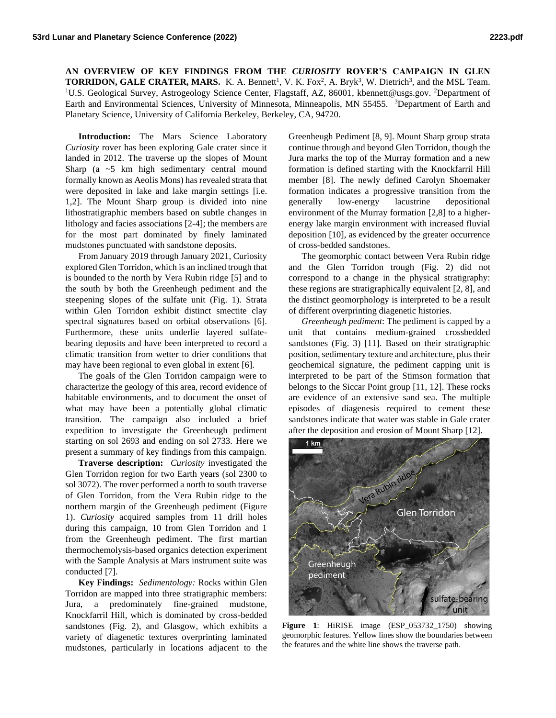**AN OVERVIEW OF KEY FINDINGS FROM THE** *CURIOSITY* **ROVER'S CAMPAIGN IN GLEN TORRIDON, GALE CRATER, MARS.** K. A. Bennett<sup>1</sup>, V. K. Fox<sup>2</sup>, A. Bryk<sup>3</sup>, W. Dietrich<sup>3</sup>, and the MSL Team. <sup>1</sup>U.S. Geological Survey, Astrogeology Science Center, Flagstaff, AZ, 86001, kbennett@usgs.gov. <sup>2</sup>Department of Earth and Environmental Sciences, University of Minnesota, Minneapolis, MN 55455. <sup>3</sup>Department of Earth and Planetary Science, University of California Berkeley, Berkeley, CA, 94720.

**Introduction:** The Mars Science Laboratory *Curiosity* rover has been exploring Gale crater since it landed in 2012. The traverse up the slopes of Mount Sharp (a ~5 km high sedimentary central mound formally known as Aeolis Mons) has revealed strata that were deposited in lake and lake margin settings [i.e. 1,2]. The Mount Sharp group is divided into nine lithostratigraphic members based on subtle changes in lithology and facies associations [2-4]; the members are for the most part dominated by finely laminated mudstones punctuated with sandstone deposits.

From January 2019 through January 2021, Curiosity explored Glen Torridon, which is an inclined trough that is bounded to the north by Vera Rubin ridge [5] and to the south by both the Greenheugh pediment and the steepening slopes of the sulfate unit (Fig. 1). Strata within Glen Torridon exhibit distinct smectite clay spectral signatures based on orbital observations [6]. Furthermore, these units underlie layered sulfatebearing deposits and have been interpreted to record a climatic transition from wetter to drier conditions that may have been regional to even global in extent [6].

The goals of the Glen Torridon campaign were to characterize the geology of this area, record evidence of habitable environments, and to document the onset of what may have been a potentially global climatic transition. The campaign also included a brief expedition to investigate the Greenheugh pediment starting on sol 2693 and ending on sol 2733. Here we present a summary of key findings from this campaign.

**Traverse description:** *Curiosity* investigated the Glen Torridon region for two Earth years (sol 2300 to sol 3072). The rover performed a north to south traverse of Glen Torridon, from the Vera Rubin ridge to the northern margin of the Greenheugh pediment (Figure 1). *Curiosity* acquired samples from 11 drill holes during this campaign, 10 from Glen Torridon and 1 from the Greenheugh pediment. The first martian thermochemolysis-based organics detection experiment with the Sample Analysis at Mars instrument suite was conducted [7].

**Key Findings:** *Sedimentology:* Rocks within Glen Torridon are mapped into three stratigraphic members: Jura, a predominately fine-grained mudstone, Knockfarril Hill, which is dominated by cross-bedded sandstones (Fig. 2), and Glasgow, which exhibits a variety of diagenetic textures overprinting laminated mudstones, particularly in locations adjacent to the Greenheugh Pediment [8, 9]. Mount Sharp group strata continue through and beyond Glen Torridon, though the Jura marks the top of the Murray formation and a new formation is defined starting with the Knockfarril Hill member [8]. The newly defined Carolyn Shoemaker formation indicates a progressive transition from the generally low-energy lacustrine depositional environment of the Murray formation [2,8] to a higherenergy lake margin environment with increased fluvial deposition [10], as evidenced by the greater occurrence of cross-bedded sandstones.

The geomorphic contact between Vera Rubin ridge and the Glen Torridon trough (Fig. 2) did not correspond to a change in the physical stratigraphy: these regions are stratigraphically equivalent [2, 8], and the distinct geomorphology is interpreted to be a result of different overprinting diagenetic histories.

*Greenheugh pediment*: The pediment is capped by a unit that contains medium-grained crossbedded sandstones (Fig. 3) [11]. Based on their stratigraphic position, sedimentary texture and architecture, plus their geochemical signature, the pediment capping unit is interpreted to be part of the Stimson formation that belongs to the Siccar Point group [11, 12]. These rocks are evidence of an extensive sand sea. The multiple episodes of diagenesis required to cement these sandstones indicate that water was stable in Gale crater after the deposition and erosion of Mount Sharp [12].



**Figure 1**: HiRISE image (ESP\_053732\_1750) showing geomorphic features. Yellow lines show the boundaries between the features and the white line shows the traverse path.